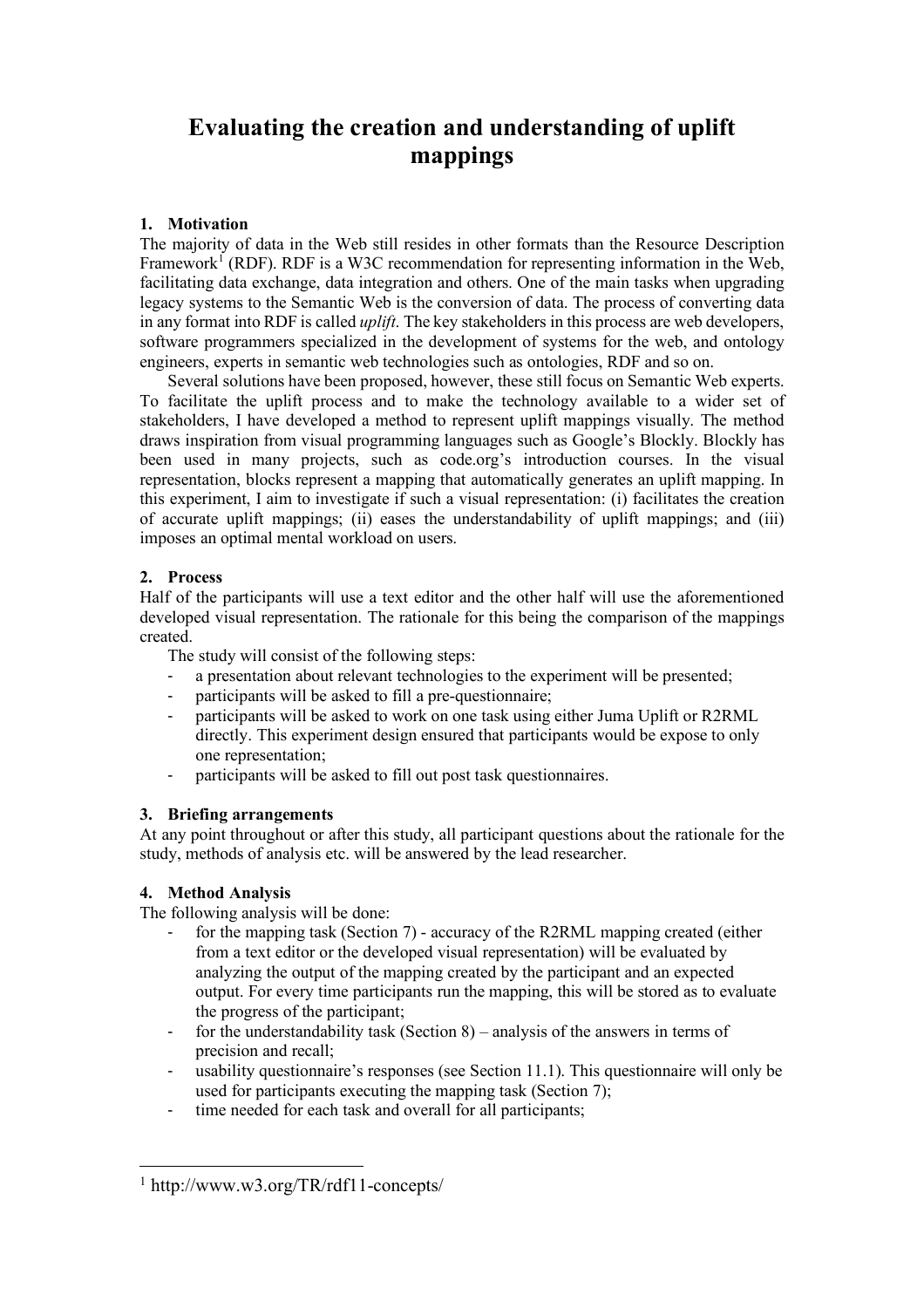# **Evaluating the creation and understanding of uplift mappings**

## **1. Motivation**

The majority of data in the Web still resides in other formats than the Resource Description Framework<sup>1</sup> (RDF). RDF is a W3C recommendation for representing information in the Web, facilitating data exchange, data integration and others. One of the main tasks when upgrading legacy systems to the Semantic Web is the conversion of data. The process of converting data in any format into RDF is called *uplift*. The key stakeholders in this process are web developers, software programmers specialized in the development of systems for the web, and ontology engineers, experts in semantic web technologies such as ontologies, RDF and so on.

Several solutions have been proposed, however, these still focus on Semantic Web experts. To facilitate the uplift process and to make the technology available to a wider set of stakeholders, I have developed a method to represent uplift mappings visually. The method draws inspiration from visual programming languages such as Google's Blockly. Blockly has been used in many projects, such as code.org's introduction courses. In the visual representation, blocks represent a mapping that automatically generates an uplift mapping. In this experiment, I aim to investigate if such a visual representation: (i) facilitates the creation of accurate uplift mappings; (ii) eases the understandability of uplift mappings; and (iii) imposes an optimal mental workload on users.

## **2. Process**

Half of the participants will use a text editor and the other half will use the aforementioned developed visual representation. The rationale for this being the comparison of the mappings created.

The study will consist of the following steps:

- a presentation about relevant technologies to the experiment will be presented;
- participants will be asked to fill a pre-questionnaire;
- participants will be asked to work on one task using either Juma Uplift or R2RML directly. This experiment design ensured that participants would be expose to only one representation;
- participants will be asked to fill out post task questionnaires.

## **3. Briefing arrangements**

At any point throughout or after this study, all participant questions about the rationale for the study, methods of analysis etc. will be answered by the lead researcher.

## **4. Method Analysis**

l

The following analysis will be done:

- for the mapping task (Section 7) accuracy of the R2RML mapping created (either from a text editor or the developed visual representation) will be evaluated by analyzing the output of the mapping created by the participant and an expected output. For every time participants run the mapping, this will be stored as to evaluate the progress of the participant;
- for the understandability task (Section 8) analysis of the answers in terms of precision and recall;
- usability questionnaire's responses (see Section 11.1). This questionnaire will only be used for participants executing the mapping task (Section 7);
- time needed for each task and overall for all participants;

<sup>1</sup> http://www.w3.org/TR/rdf11-concepts/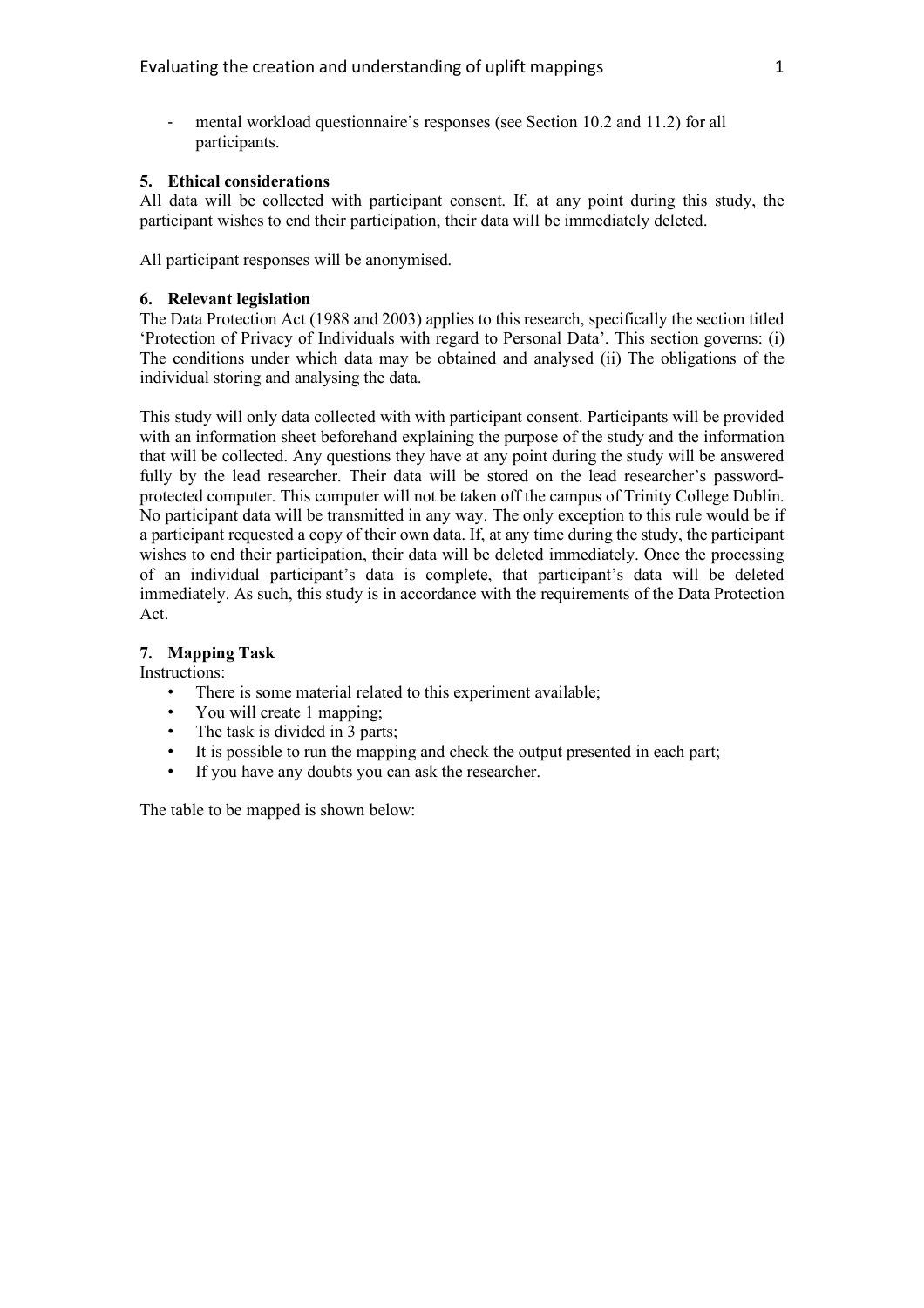mental workload questionnaire's responses (see Section 10.2 and 11.2) for all participants.

## **5. Ethical considerations**

All data will be collected with participant consent. If, at any point during this study, the participant wishes to end their participation, their data will be immediately deleted.

All participant responses will be anonymised.

# **6. Relevant legislation**

The Data Protection Act (1988 and 2003) applies to this research, specifically the section titled 'Protection of Privacy of Individuals with regard to Personal Data'. This section governs: (i) The conditions under which data may be obtained and analysed (ii) The obligations of the individual storing and analysing the data.

This study will only data collected with with participant consent. Participants will be provided with an information sheet beforehand explaining the purpose of the study and the information that will be collected. Any questions they have at any point during the study will be answered fully by the lead researcher. Their data will be stored on the lead researcher's passwordprotected computer. This computer will not be taken off the campus of Trinity College Dublin. No participant data will be transmitted in any way. The only exception to this rule would be if a participant requested a copy of their own data. If, at any time during the study, the participant wishes to end their participation, their data will be deleted immediately. Once the processing of an individual participant's data is complete, that participant's data will be deleted immediately. As such, this study is in accordance with the requirements of the Data Protection Act.

# **7. Mapping Task**

Instructions:

- There is some material related to this experiment available;
- You will create 1 mapping;
- The task is divided in 3 parts;
- It is possible to run the mapping and check the output presented in each part;
- If you have any doubts you can ask the researcher.

The table to be mapped is shown below: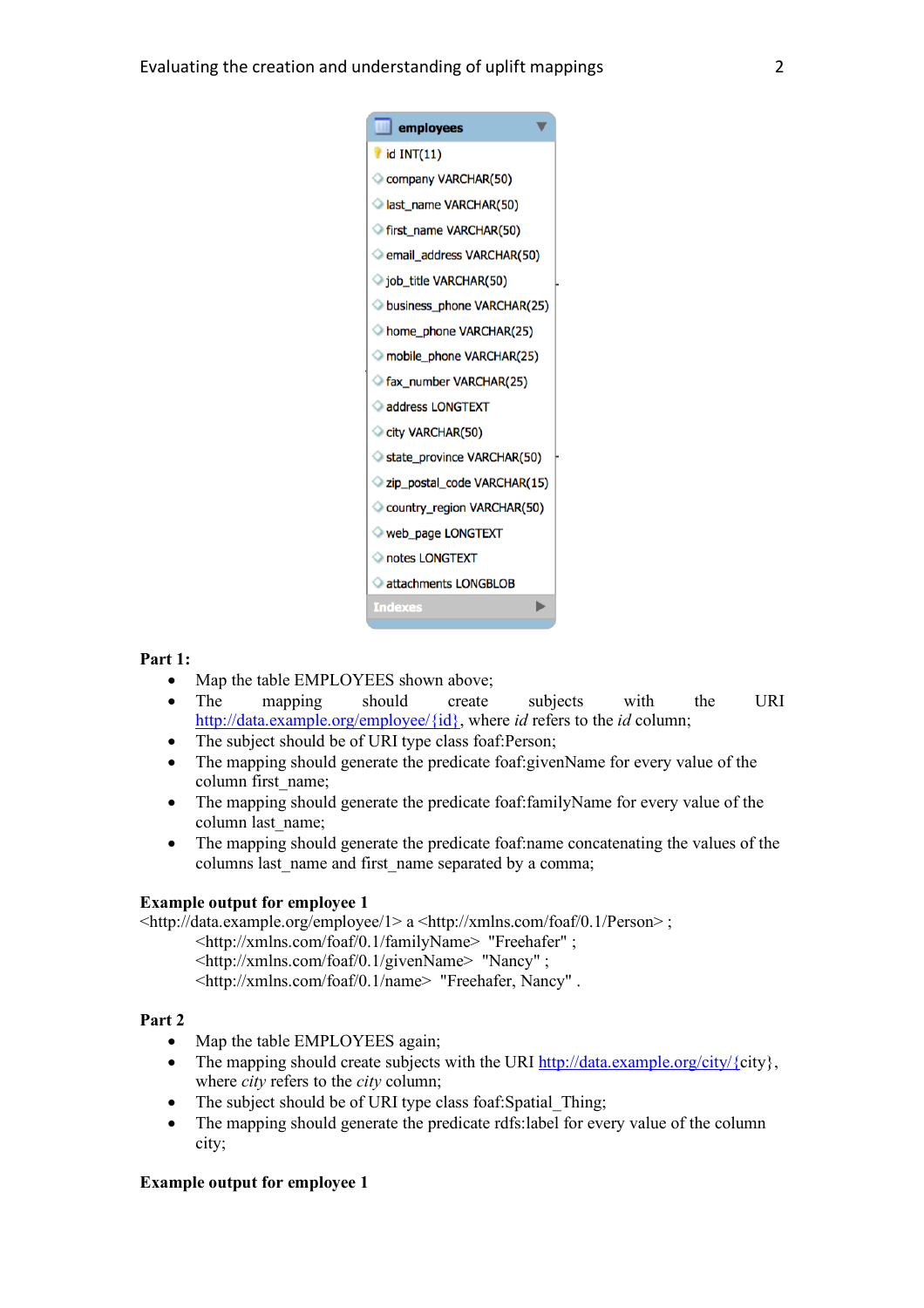| $\Box$ employees              |
|-------------------------------|
| $\blacksquare$ id INT(11)     |
| Company VARCHAR(50)           |
| last_name VARCHAR(50)         |
| <b>first name VARCHAR(50)</b> |
| email_address VARCHAR(50)     |
| iob_title VARCHAR(50)         |
| business_phone VARCHAR(25)    |
| home_phone VARCHAR(25)        |
| mobile_phone VARCHAR(25)      |
| fax_number VARCHAR(25)        |
| address LONGTEXT              |
| City VARCHAR(50)              |
| State_province VARCHAR(50)    |
| zip_postal_code VARCHAR(15)   |
| Country_region VARCHAR(50)    |
| web_page LONGTEXT             |
| notes LONGTEXT                |
| attachments LONGBLOB          |
| <b>Indexes</b>                |
|                               |

## **Part 1:**

- Map the table EMPLOYEES shown above;
- The mapping should create subjects with the URI http://data.example.org/employee/{id}, where *id* refers to the *id* column;
- The subject should be of URI type class foaf: Person;
- The mapping should generate the predicate foaf:givenName for every value of the column first\_name;
- The mapping should generate the predicate foaf:familyName for every value of the column last name;
- The mapping should generate the predicate foaf:name concatenating the values of the columns last name and first name separated by a comma;

#### **Example output for employee 1**

<http://data.example.org/employee/1> a <http://xmlns.com/foaf/0.1/Person> ;

- <http://xmlns.com/foaf/0.1/familyName> "Freehafer" ;
- <http://xmlns.com/foaf/0.1/givenName> "Nancy" ;

<http://xmlns.com/foaf/0.1/name> "Freehafer, Nancy" .

#### **Part 2**

- Map the table EMPLOYEES again;
- The mapping should create subjects with the URI http://data.example.org/city/ $\{city\}$ , where *city* refers to the *city* column;
- The subject should be of URI type class foaf: Spatial Thing:
- The mapping should generate the predicate rdfs: label for every value of the column city;

## **Example output for employee 1**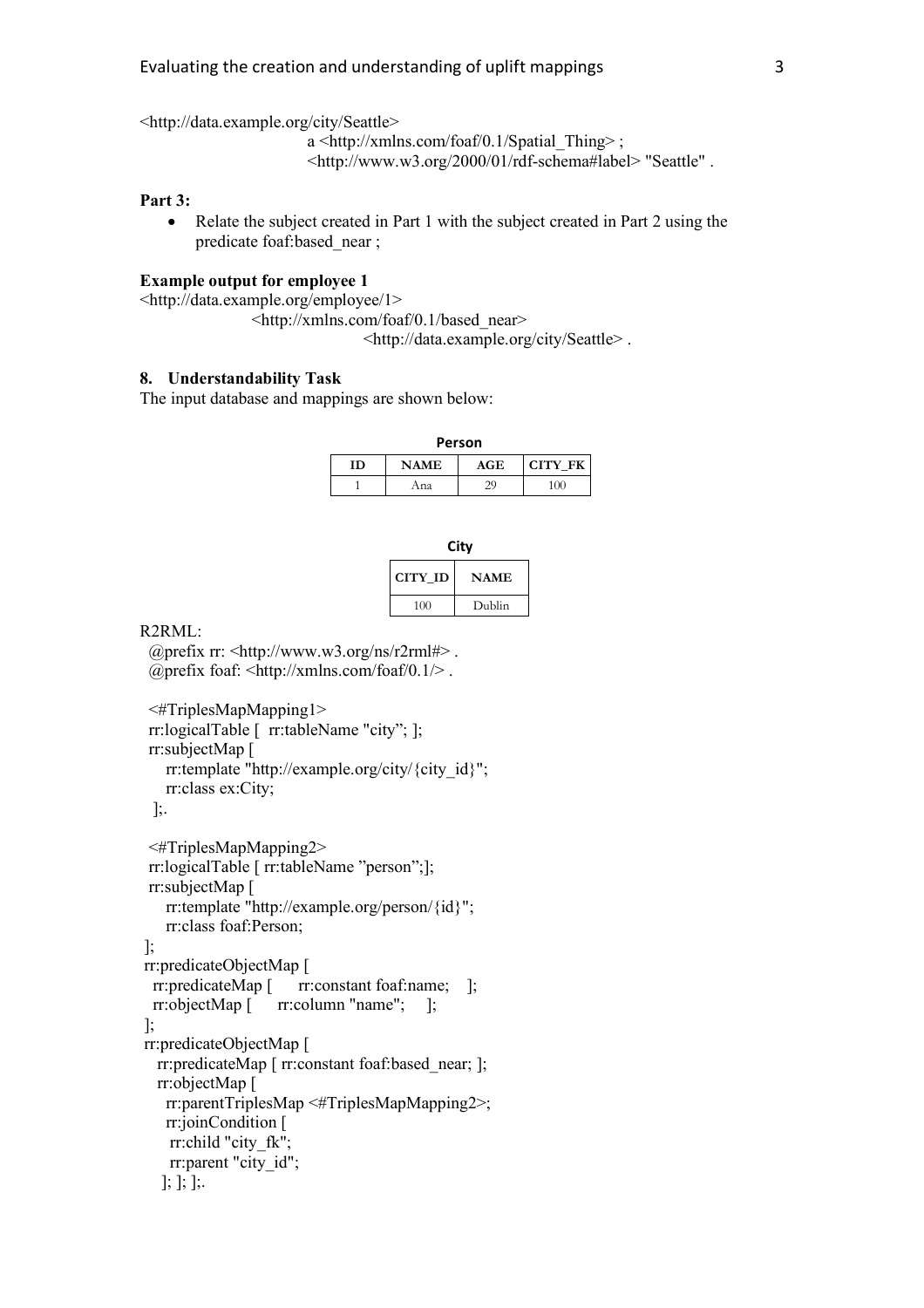<http://data.example.org/city/Seattle>

a <http://xmlns.com/foaf/0.1/Spatial\_Thing> ; <http://www.w3.org/2000/01/rdf-schema#label> "Seattle" .

#### **Part 3:**

• Relate the subject created in Part 1 with the subject created in Part 2 using the predicate foaf:based\_near ;

## **Example output for employee 1**

<http://data.example.org/employee/1>

<http://xmlns.com/foaf/0.1/based\_near> <http://data.example.org/city/Seattle> .

#### **8. Understandability Task**

The input database and mappings are shown below:

**Person**

| m | <b>NAME</b> | AGE | <b>CITY FK</b> |
|---|-------------|-----|----------------|
|   | Ana         |     | 1()()          |

| ٠          |  |  |
|------------|--|--|
| ×<br>- - - |  |  |

| CITY ID | <b>NAME</b> |
|---------|-------------|
| 100     | Dublin      |

R2RML:

 @prefix rr: <http://www.w3.org/ns/r2rml#> . @prefix foaf: <http://xmlns.com/foaf/0.1/> .

```
 <#TriplesMapMapping1>
 rr:logicalTable [ rr:tableName "city"; ];
 rr:subjectMap [
   rr:template "http://example.org/city/{city_id}";
    rr:class ex:City;
  ];.
 <#TriplesMapMapping2>
 rr:logicalTable [ rr:tableName "person";];
 rr:subjectMap [
    rr:template "http://example.org/person/{id}";
    rr:class foaf:Person;
];
rr:predicateObjectMap [ 
 rr:predicateMap [ rr:constant foaf:name; ];
 rr:objectMap [ rr:column "name"; ];
];
rr:predicateObjectMap [
   rr:predicateMap [ rr:constant foaf:based_near; ];
   rr:objectMap [
    rr:parentTriplesMap <#TriplesMapMapping2>;
    rr:joinCondition [
```

```
 rr:child "city_fk";
rr:parent "city_id";
```

```
 ]; ]; ];.
```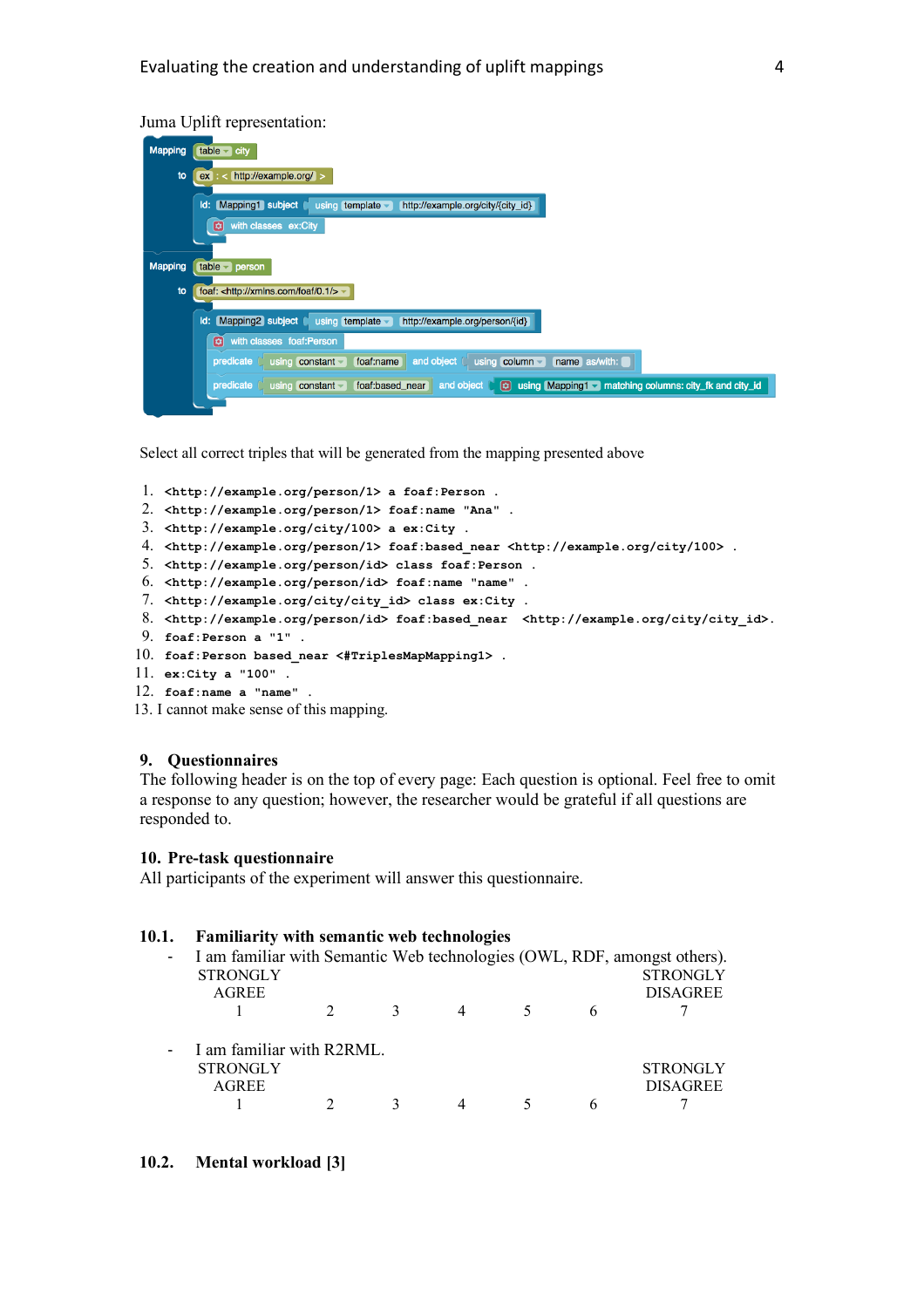### Juma Uplift representation:

| <b>Mapping</b> | $table - city$                                                                                                                             |
|----------------|--------------------------------------------------------------------------------------------------------------------------------------------|
| to             | https://example.org/<br>ex                                                                                                                 |
|                | Mapping1 subject<br>Id:<br>using template $\overline{\phantom{a}}$<br>http://example.org/city/{city_id}                                    |
|                | ø<br>with classes ex:City                                                                                                                  |
| <b>Mapping</b> | $table - person$                                                                                                                           |
| to             | foaf: <http: 0.1="" foaf="" xmlns.com=""></http:> ~                                                                                        |
|                | Mapping2 subject<br>Id:<br>using template $\blacktriangleright$<br>http://example.org/person/{id}                                          |
|                | with classes foaf:Person<br>ø                                                                                                              |
|                | $using column -$<br>name as/with:<br>foaf:name<br>and object<br>predicate<br>$using$ constant $\overline{\phantom{a}}$                     |
|                | $\bullet$<br>and object<br>using Mapping1 matching columns: city_fk and city_id<br>foaf:based_near<br>predicate<br>$using$ constant $\sim$ |
|                |                                                                                                                                            |

Select all correct triples that will be generated from the mapping presented above

```
1. <http://example.org/person/1> a foaf:Person .
2. <http://example.org/person/1> foaf:name "Ana" .
3. <http://example.org/city/100> a ex:City .
4. <http://example.org/person/1> foaf:based_near <http://example.org/city/100> .
 5. <http://example.org/person/id> class foaf:Person .
6. <http://example.org/person/id> foaf:name "name" .
7. <http://example.org/city/city_id> class ex:City .
8. <http://example.org/person/id> foaf:based near <http://example.org/city/city_id>.
9. foaf:Person a "1" .
10. foaf:Person based_near <#TriplesMapMapping1> .
11. ex:City a "100" .
12. foaf:name a "name" .
13. I cannot make sense of this mapping.
```
#### **9. Questionnaires**

The following header is on the top of every page: Each question is optional. Feel free to omit a response to any question; however, the researcher would be grateful if all questions are responded to.

#### **10. Pre-task questionnaire**

All participants of the experiment will answer this questionnaire.

| 10.1.  | <b>Familiarity with semantic web technologies</b>                                           |   |  |   |                 |
|--------|---------------------------------------------------------------------------------------------|---|--|---|-----------------|
| $\sim$ | I am familiar with Semantic Web technologies (OWL, RDF, amongst others).<br><b>STRONGLY</b> |   |  |   | <b>STRONGLY</b> |
|        | <b>AGREE</b>                                                                                |   |  |   | <b>DISAGREE</b> |
|        |                                                                                             | 3 |  | 6 |                 |
|        | - I am familiar with R2RML.                                                                 |   |  |   |                 |
|        | <b>STRONGLY</b>                                                                             |   |  |   | <b>STRONGLY</b> |
|        | <b>AGREE</b>                                                                                |   |  |   | <b>DISAGREE</b> |
|        |                                                                                             |   |  | 6 |                 |

#### **10.2. Mental workload [3]**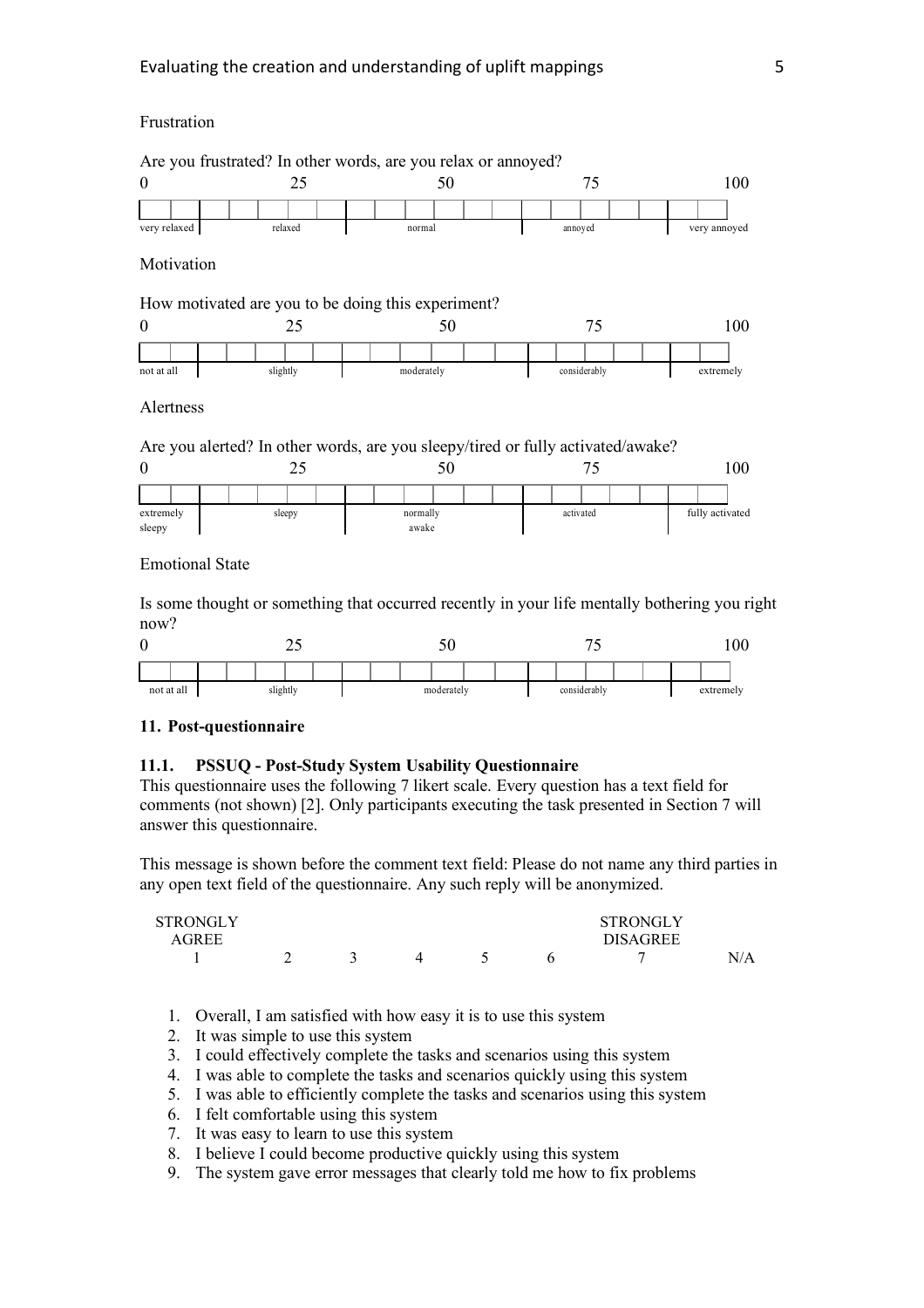## Frustration



Is some thought or something that occurred recently in your life mentally bothering you right now?

|  |                        |  |  |  |  | $\overline{\phantom{a}}$ | $\overline{\phantom{a}}$<br>v |  |  |  |  |  |              |           |  |  |  |  | 00 |  |  |
|--|------------------------|--|--|--|--|--------------------------|-------------------------------|--|--|--|--|--|--------------|-----------|--|--|--|--|----|--|--|
|  |                        |  |  |  |  |                          |                               |  |  |  |  |  |              |           |  |  |  |  |    |  |  |
|  | not at all<br>slightly |  |  |  |  | moderately               |                               |  |  |  |  |  | considerably | extremely |  |  |  |  |    |  |  |

#### **11. Post-questionnaire**

## **11.1. PSSUQ - Post-Study System Usability Questionnaire**

This questionnaire uses the following 7 likert scale. Every question has a text field for comments (not shown) [2]. Only participants executing the task presented in Section 7 will answer this questionnaire.

This message is shown before the comment text field: Please do not name any third parties in any open text field of the questionnaire. Any such reply will be anonymized.

| STRONGLY |  |  | <b>STRONGLY</b> |     |
|----------|--|--|-----------------|-----|
| AGREE    |  |  | <b>DISAGREE</b> |     |
|          |  |  | ┍               | N/A |

- 1. Overall, I am satisfied with how easy it is to use this system
- 2. It was simple to use this system
- 3. I could effectively complete the tasks and scenarios using this system
- 4. I was able to complete the tasks and scenarios quickly using this system
- 5. I was able to efficiently complete the tasks and scenarios using this system
- 6. I felt comfortable using this system
- 7. It was easy to learn to use this system
- 8. I believe I could become productive quickly using this system
- 9. The system gave error messages that clearly told me how to fix problems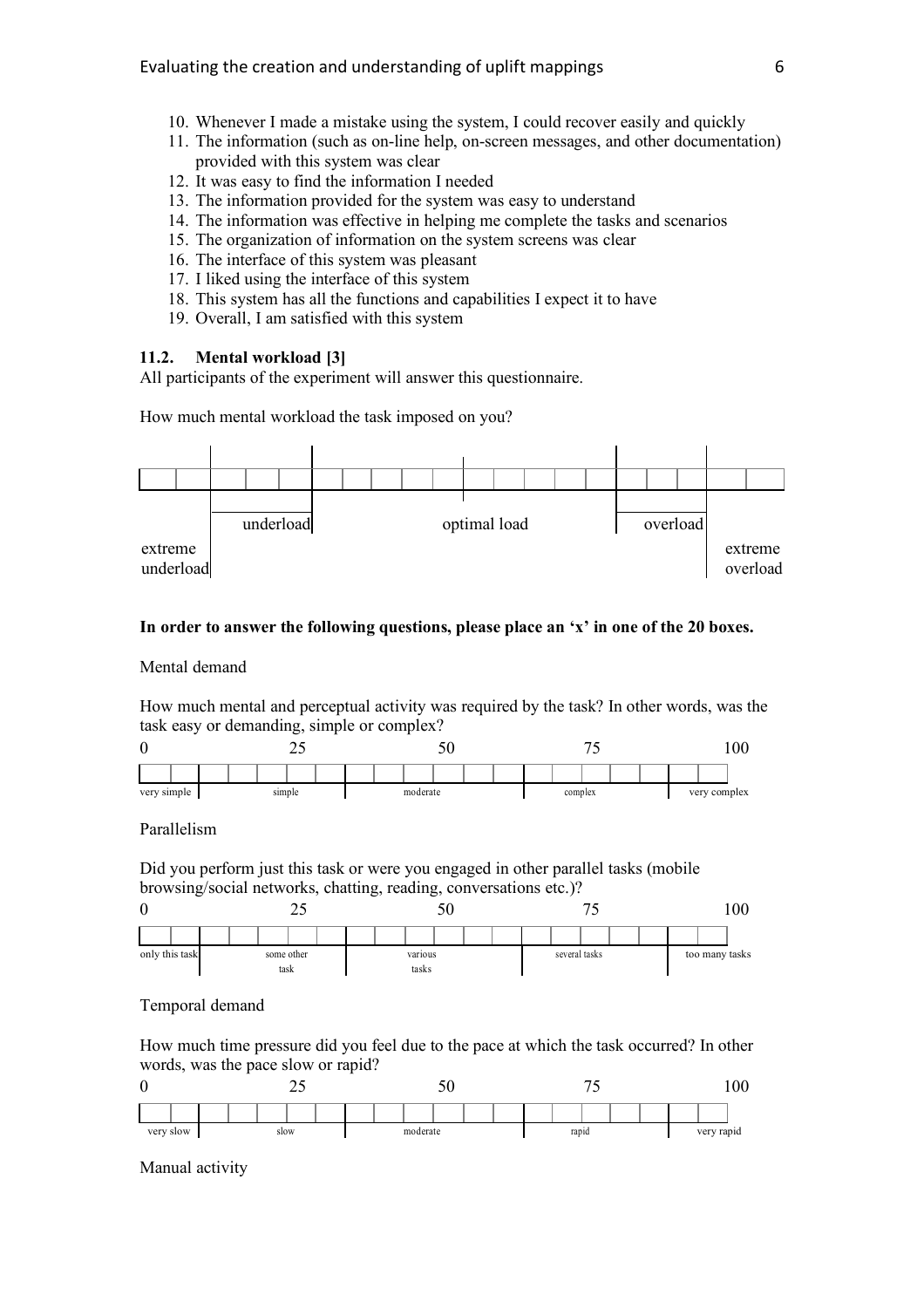- 10. Whenever I made a mistake using the system, I could recover easily and quickly
- 11. The information (such as on-line help, on-screen messages, and other documentation) provided with this system was clear
- 12. It was easy to find the information I needed
- 13. The information provided for the system was easy to understand
- 14. The information was effective in helping me complete the tasks and scenarios
- 15. The organization of information on the system screens was clear
- 16. The interface of this system was pleasant
- 17. I liked using the interface of this system
- 18. This system has all the functions and capabilities I expect it to have
- 19. Overall, I am satisfied with this system

## **11.2. Mental workload [3]**

All participants of the experiment will answer this questionnaire.

How much mental workload the task imposed on you?



## **In order to answer the following questions, please place an 'x' in one of the 20 boxes.**

Mental demand

How much mental and perceptual activity was required by the task? In other words, was the task easy or demanding, simple or complex?



Parallelism

Did you perform just this task or were you engaged in other parallel tasks (mobile browsing/social networks, chatting, reading, conversations etc.)?



## Temporal demand

How much time pressure did you feel due to the pace at which the task occurred? In other words, was the pace slow or rapid?



Manual activity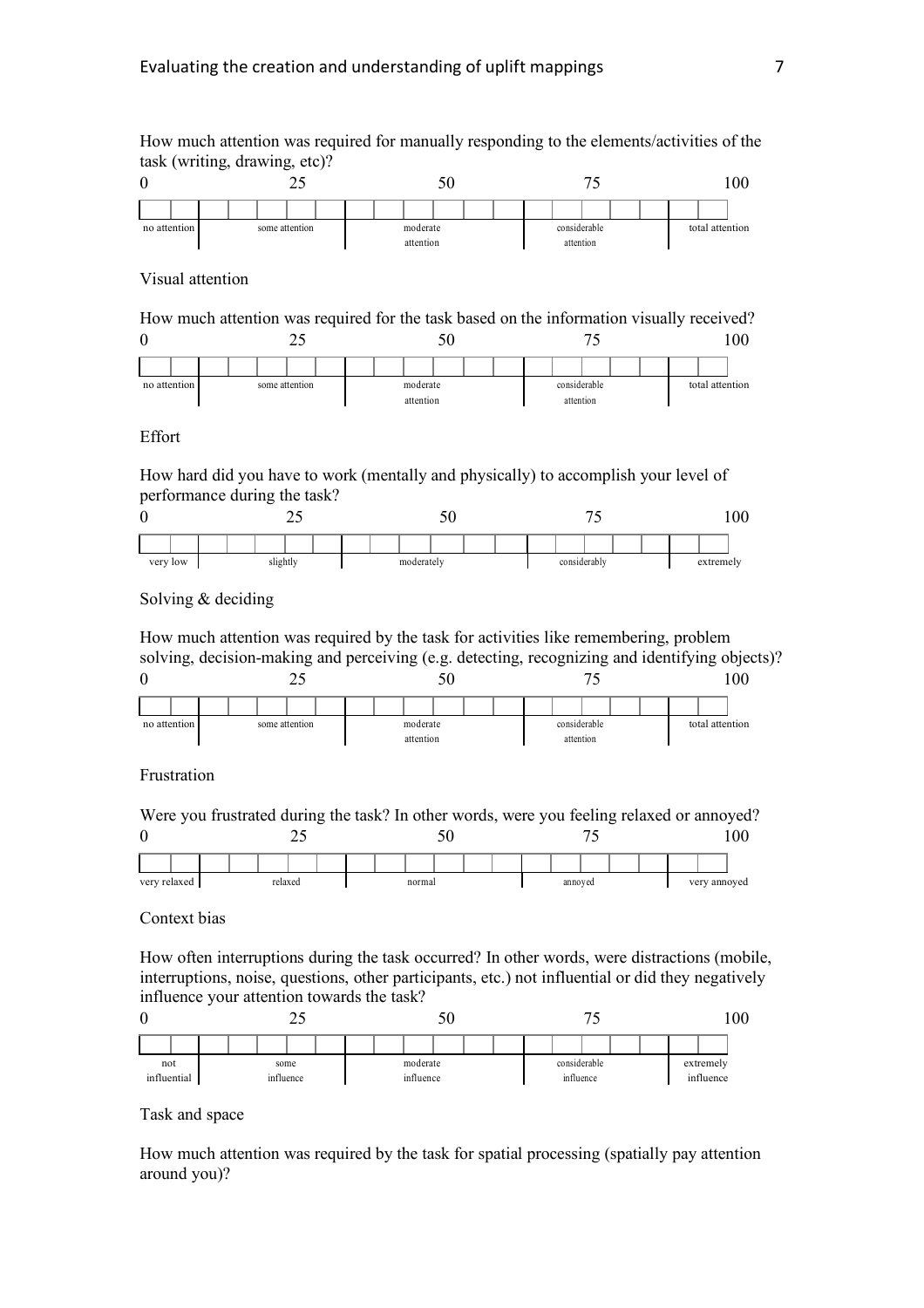How much attention was required for manually responding to the elements/activities of the task (writing, drawing, etc)?



## Visual attention

How much attention was required for the task based on the information visually received?



## Effort

How hard did you have to work (mentally and physically) to accomplish your level of performance during the task?



### Solving & deciding

How much attention was required by the task for activities like remembering, problem solving, decision-making and perceiving (e.g. detecting, recognizing and identifying objects)?



## Frustration

Were you frustrated during the task? In other words, were you feeling relaxed or annoyed? 0 25 50 75 100



#### Context bias

How often interruptions during the task occurred? In other words, were distractions (mobile, interruptions, noise, questions, other participants, etc.) not influential or did they negatively influence your attention towards the task?



#### Task and space

How much attention was required by the task for spatial processing (spatially pay attention around you)?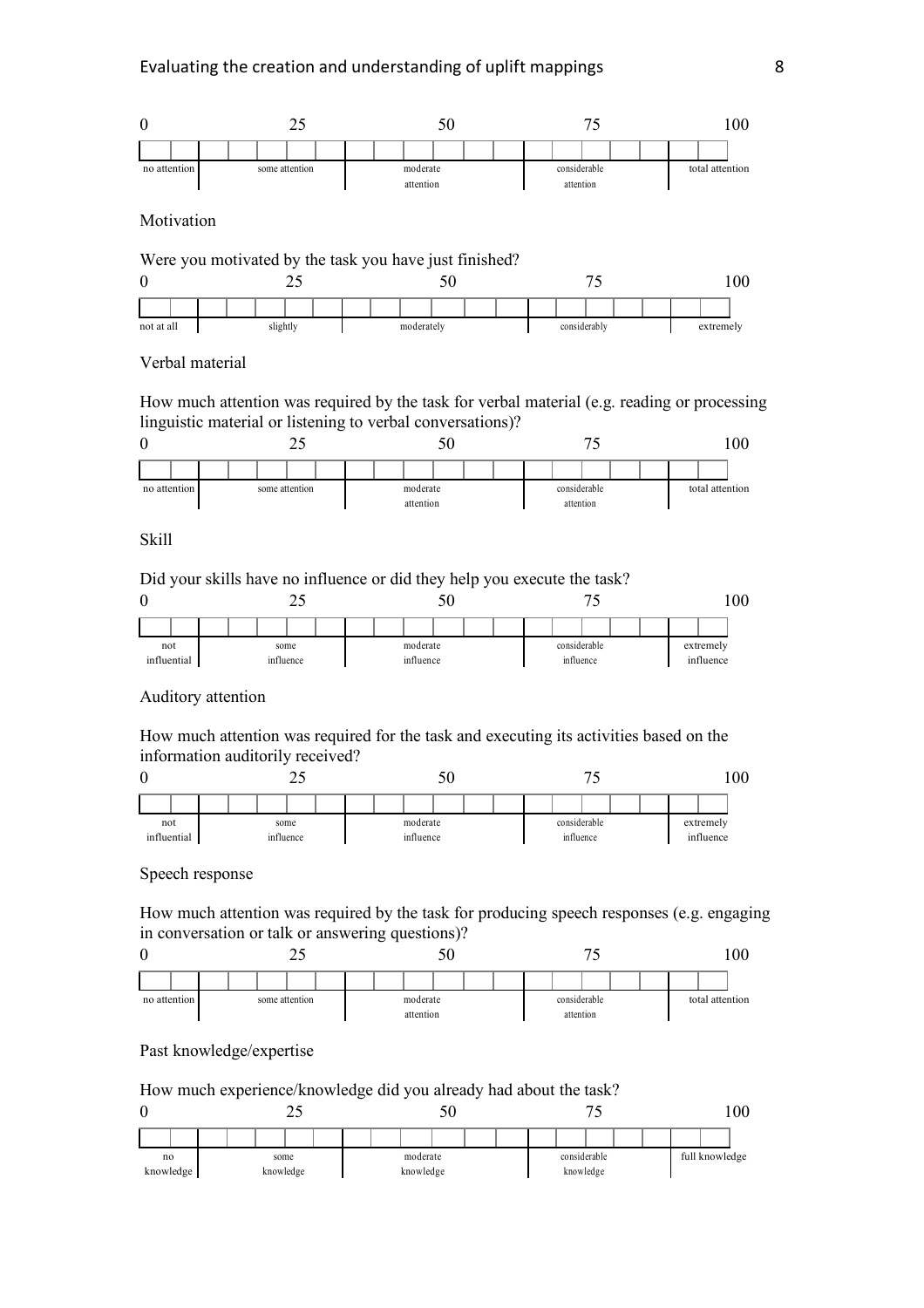

Motivation



#### Verbal material

How much attention was required by the task for verbal material (e.g. reading or processing linguistic material or listening to verbal conversations)?



Skill

Did your skills have no influence or did they help you execute the task?

| ν<br>⊷             |  |  |  |  |                   |  |                       |  | υU |  |  |                           | 00 |                        |  |  |  |  |
|--------------------|--|--|--|--|-------------------|--|-----------------------|--|----|--|--|---------------------------|----|------------------------|--|--|--|--|
|                    |  |  |  |  |                   |  |                       |  |    |  |  |                           |    |                        |  |  |  |  |
| not<br>influential |  |  |  |  | some<br>influence |  | moderate<br>influence |  |    |  |  | considerable<br>influence |    | extremely<br>influence |  |  |  |  |

## Auditory attention

How much attention was required for the task and executing its activities based on the information auditorily received?



Speech response

How much attention was required by the task for producing speech responses (e.g. engaging in conversation or talk or answering questions)?



Past knowledge/expertise

How much experience/knowledge did you already had about the task?

| υ<br>~~ |  |                         |           |  |  |          | υU        |  |  |  |  |              |           |  | ሰሰ<br>vv |  |                |  |  |  |  |
|---------|--|-------------------------|-----------|--|--|----------|-----------|--|--|--|--|--------------|-----------|--|----------|--|----------------|--|--|--|--|
|         |  |                         |           |  |  |          |           |  |  |  |  |              |           |  |          |  |                |  |  |  |  |
|         |  | no<br>some<br>knowledge |           |  |  | moderate |           |  |  |  |  | considerable |           |  |          |  | full knowledge |  |  |  |  |
|         |  |                         | knowledge |  |  |          | knowledge |  |  |  |  |              | knowledge |  |          |  |                |  |  |  |  |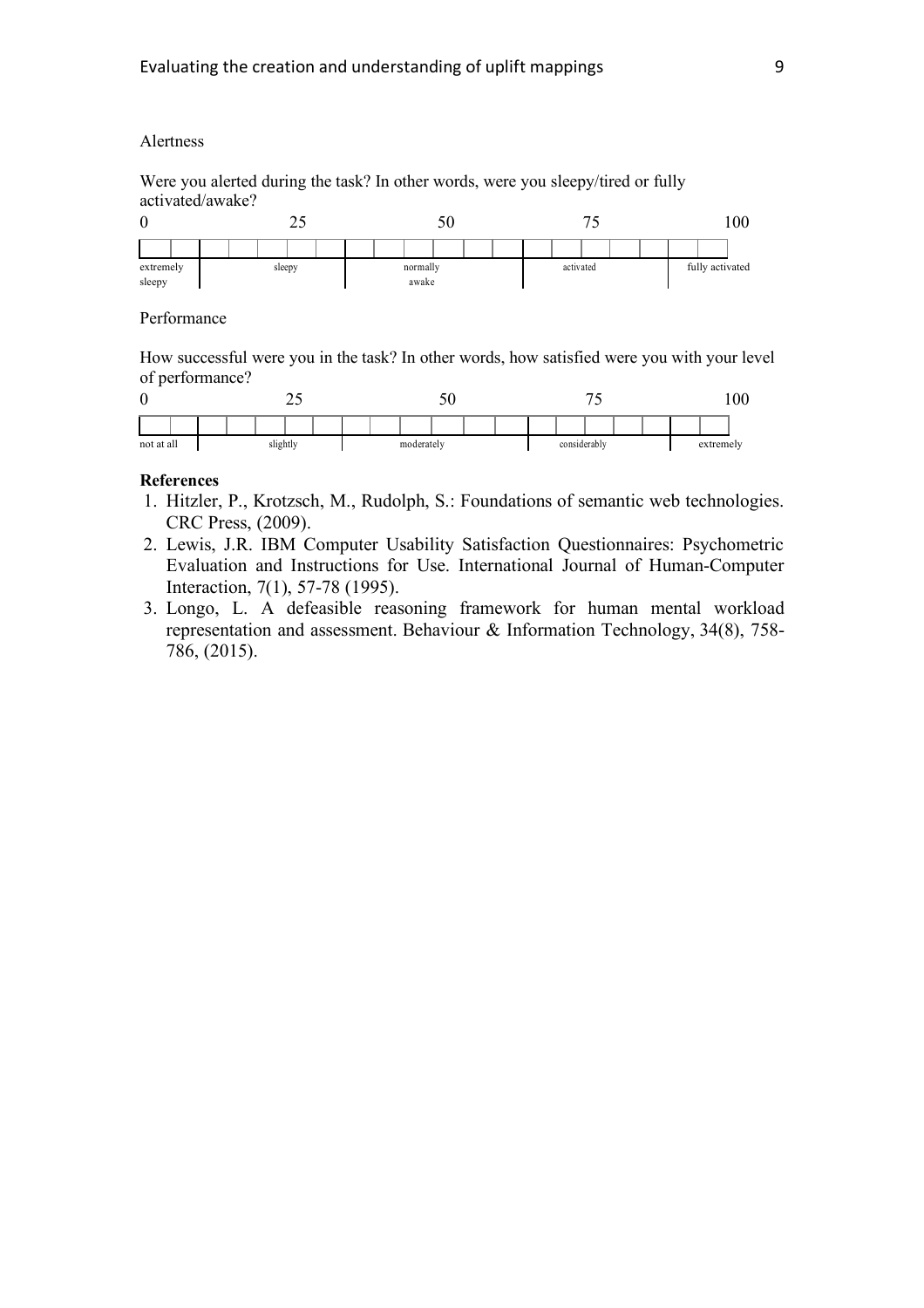## Alertness

Were you alerted during the task? In other words, were you sleepy/tired or fully activated/awake?



## Performance

How successful were you in the task? In other words, how satisfied were you with your level of performance?

|            |          |  |  | ت سه |  | IJΨ        |  |  |  |  |  |  |              |  |  |  |  | $\Omega$<br>vv |           |  |
|------------|----------|--|--|------|--|------------|--|--|--|--|--|--|--------------|--|--|--|--|----------------|-----------|--|
|            |          |  |  |      |  |            |  |  |  |  |  |  |              |  |  |  |  |                |           |  |
| not at all | slightly |  |  |      |  | moderately |  |  |  |  |  |  | considerably |  |  |  |  |                | extremely |  |

#### **References**

- 1. Hitzler, P., Krotzsch, M., Rudolph, S.: Foundations of semantic web technologies. CRC Press, (2009).
- 2. Lewis, J.R. IBM Computer Usability Satisfaction Questionnaires: Psychometric Evaluation and Instructions for Use. International Journal of Human-Computer Interaction, 7(1), 57-78 (1995).
- 3. Longo, L. A defeasible reasoning framework for human mental workload representation and assessment. Behaviour & Information Technology, 34(8), 758- 786, (2015).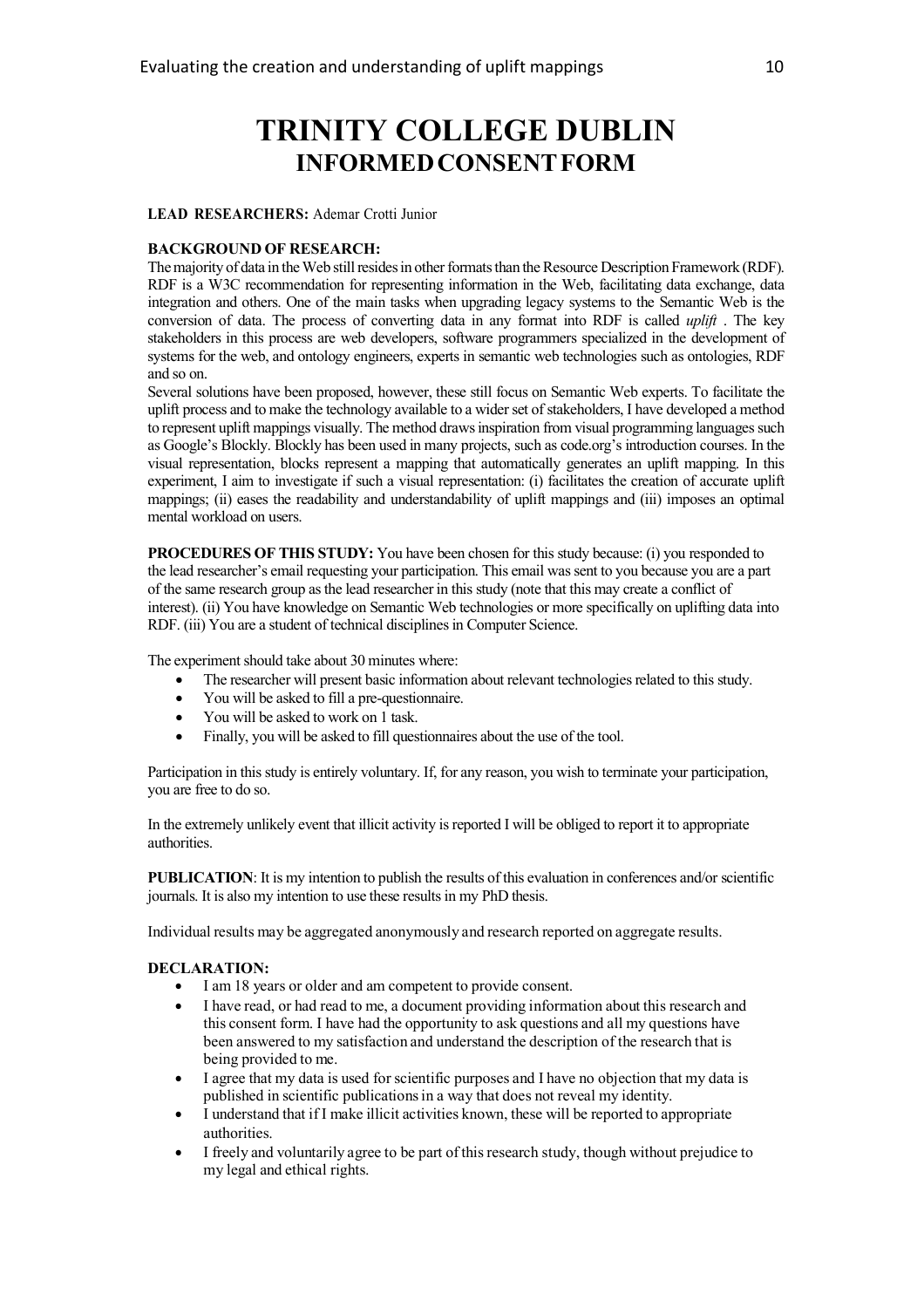# **TRINITY COLLEGE DUBLIN INFORMEDCONSENTFORM**

#### **LEAD RESEARCHERS:** Ademar Crotti Junior

#### **BACKGROUND OF RESEARCH:**

The majority of data in the Web still resides in other formats than the Resource Description Framework (RDF). RDF is a W3C recommendation for representing information in the Web, facilitating data exchange, data integration and others. One of the main tasks when upgrading legacy systems to the Semantic Web is the conversion of data. The process of converting data in any format into RDF is called *uplift* . The key stakeholders in this process are web developers, software programmers specialized in the development of systems for the web, and ontology engineers, experts in semantic web technologies such as ontologies, RDF and so on.

Several solutions have been proposed, however, these still focus on Semantic Web experts. To facilitate the uplift process and to make the technology available to a wider set of stakeholders, I have developed a method to represent uplift mappings visually. The method draws inspiration from visual programming languages such as Google's Blockly. Blockly has been used in many projects, such as code.org's introduction courses. In the visual representation, blocks represent a mapping that automatically generates an uplift mapping. In this experiment, I aim to investigate if such a visual representation: (i) facilitates the creation of accurate uplift mappings; (ii) eases the readability and understandability of uplift mappings and (iii) imposes an optimal mental workload on users.

**PROCEDURES OF THIS STUDY:** You have been chosen for this study because: (i) you responded to the lead researcher's email requesting your participation. This email was sent to you because you are a part of the same research group as the lead researcher in this study (note that this may create a conflict of interest). (ii) You have knowledge on Semantic Web technologies or more specifically on uplifting data into RDF. (iii) You are a student of technical disciplines in Computer Science.

The experiment should take about 30 minutes where:

- The researcher will present basic information about relevant technologies related to this study.
- You will be asked to fill a pre-questionnaire.
- You will be asked to work on 1 task.
- Finally, you will be asked to fill questionnaires about the use of the tool.

Participation in this study is entirely voluntary. If, for any reason, you wish to terminate your participation, you are free to do so.

In the extremely unlikely event that illicit activity is reported I will be obliged to report it to appropriate authorities.

**PUBLICATION:** It is my intention to publish the results of this evaluation in conferences and/or scientific journals. It is also my intention to use these results in my PhD thesis.

Individual results may be aggregated anonymously and research reported on aggregate results.

#### **DECLARATION:**

- I am 18 years or older and am competent to provide consent.
- I have read, or had read to me, a document providing information about this research and this consent form. I have had the opportunity to ask questions and all my questions have been answered to my satisfaction and understand the description of the research that is being provided to me.
- I agree that my data is used for scientific purposes and I have no objection that my data is published in scientific publicationsin a way that does not reveal my identity.
- I understand that if I make illicit activities known, these will be reported to appropriate authorities.
- I freely and voluntarily agree to be part of this research study, though without prejudice to my legal and ethical rights.